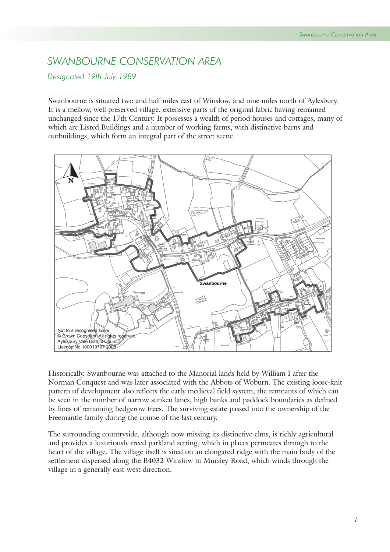## *SWANBOURNE CONSERVATION AREA*

## *Designated 19th July 1989*

Swanbourne is situated two and half miles east of Winslow, and nine miles north of Aylesbury. It is a mellow, well preserved village, extensive parts of the original fabric having remained unchanged since the 17th Century. It possesses a wealth of period houses and cottages, many of which are Listed Buildings and a number of working farms, with distinctive barns and outbuildings, which form an integral part of the street scene.



Historically, Swanbourne was attached to the Manorial lands held by William I after the Norman Conquest and was later associated with the Abbots of Woburn. The existing loose-knit pattern of development also reflects the early medieval field system, the remnants of which can be seen in the number of narrow sunken lanes, high banks and paddock boundaries as defined by lines of remaining hedgerow trees. The surviving estate passed into the ownership of the Freemantle family during the course of the last century.

The surrounding countryside, although now missing its distinctive elms, is richly agricultural and provides a luxuriously treed parkland setting, which in places permeates through to the heart of the village. The village itself is sited on an elongated ridge with the main body of the settlement dispersed along the B4032 Winslow to Mursley Road, which winds through the village in a generally east-west direction.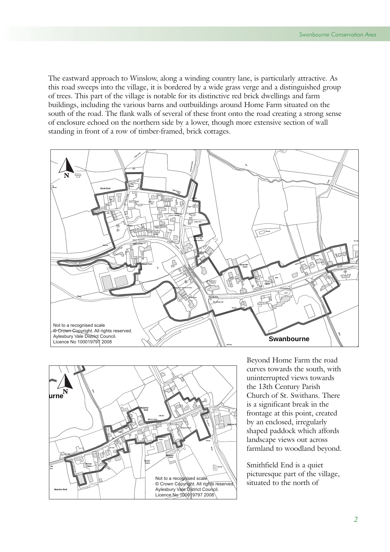The eastward approach to Winslow, along a winding country lane, is particularly attractive. As this road sweeps into the village, it is bordered by a wide grass verge and a distinguished group of trees. This part of the village is notable for its distinctive red brick dwellings and farm buildings, including the various barns and outbuildings around Home Farm situated on the south of the road. The flank walls of several of these front onto the road creating a strong sense of enclosure echoed on the northern side by a lower, though more extensive section of wall standing in front of a row of timber-framed, brick cottages.





Beyond Home Farm the road curves towards the south, with uninterrupted views towards the 13th Century Parish Church of St. Swithans. There is a significant break in the frontage at this point, created by an enclosed, irregularly shaped paddock which affords landscape views out across farmland to woodland beyond.

Smithfield End is a quiet picturesque part of the village, situated to the north of